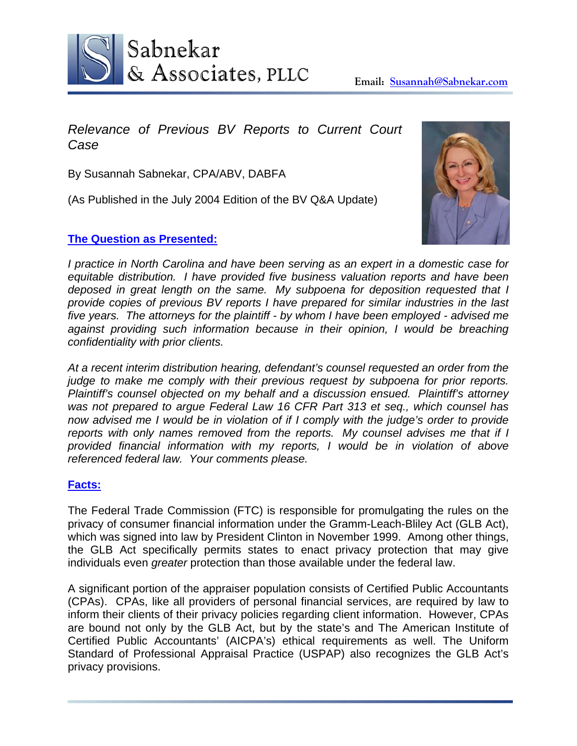

# *Relevance of Previous BV Reports to Current Court Case*

By Susannah Sabnekar, CPA/ABV, DABFA

(As Published in the July 2004 Edition of the BV Q&A Update)

### **The Question as Presented:**



*I practice in North Carolina and have been serving as an expert in a domestic case for equitable distribution. I have provided five business valuation reports and have been deposed in great length on the same. My subpoena for deposition requested that I provide copies of previous BV reports I have prepared for similar industries in the last five years. The attorneys for the plaintiff - by whom I have been employed - advised me*  against providing such information because in their opinion, I would be breaching *confidentiality with prior clients.* 

*At a recent interim distribution hearing, defendant's counsel requested an order from the judge to make me comply with their previous request by subpoena for prior reports. Plaintiff's counsel objected on my behalf and a discussion ensued. Plaintiff's attorney was not prepared to argue Federal Law 16 CFR Part 313 et seq., which counsel has now advised me I would be in violation of if I comply with the judge's order to provide reports with only names removed from the reports. My counsel advises me that if I provided financial information with my reports, I would be in violation of above referenced federal law. Your comments please.* 

## **Facts:**

The Federal Trade Commission (FTC) is responsible for promulgating the rules on the privacy of consumer financial information under the Gramm-Leach-Bliley Act (GLB Act), which was signed into law by President Clinton in November 1999. Among other things, the GLB Act specifically permits states to enact privacy protection that may give individuals even *greater* protection than those available under the federal law.

A significant portion of the appraiser population consists of Certified Public Accountants (CPAs). CPAs, like all providers of personal financial services, are required by law to inform their clients of their privacy policies regarding client information. However, CPAs are bound not only by the GLB Act, but by the state's and The American Institute of Certified Public Accountants' (AICPA's) ethical requirements as well. The Uniform Standard of Professional Appraisal Practice (USPAP) also recognizes the GLB Act's privacy provisions.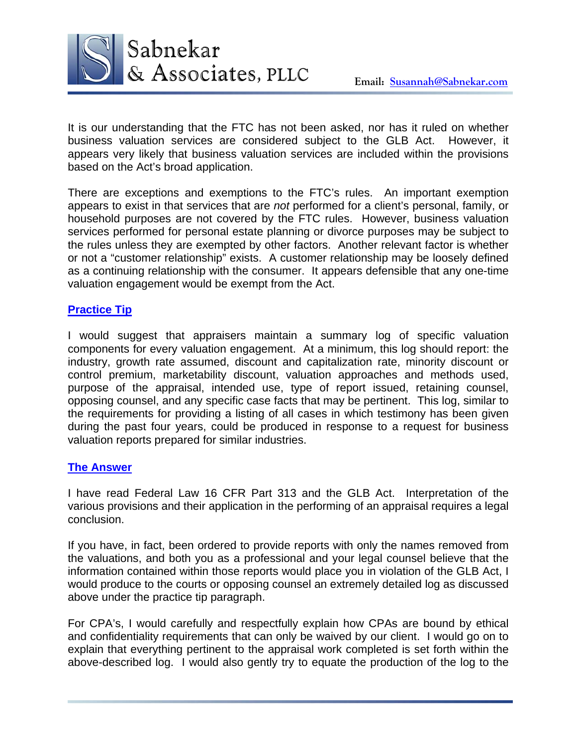

It is our understanding that the FTC has not been asked, nor has it ruled on whether business valuation services are considered subject to the GLB Act. However, it appears very likely that business valuation services are included within the provisions based on the Act's broad application.

There are exceptions and exemptions to the FTC's rules. An important exemption appears to exist in that services that are *not* performed for a client's personal, family, or household purposes are not covered by the FTC rules. However, business valuation services performed for personal estate planning or divorce purposes may be subject to the rules unless they are exempted by other factors. Another relevant factor is whether or not a "customer relationship" exists. A customer relationship may be loosely defined as a continuing relationship with the consumer. It appears defensible that any one-time valuation engagement would be exempt from the Act.

#### **Practice Tip**

I would suggest that appraisers maintain a summary log of specific valuation components for every valuation engagement. At a minimum, this log should report: the industry, growth rate assumed, discount and capitalization rate, minority discount or control premium, marketability discount, valuation approaches and methods used, purpose of the appraisal, intended use, type of report issued, retaining counsel, opposing counsel, and any specific case facts that may be pertinent. This log, similar to the requirements for providing a listing of all cases in which testimony has been given during the past four years, could be produced in response to a request for business valuation reports prepared for similar industries.

#### **The Answer**

I have read Federal Law 16 CFR Part 313 and the GLB Act. Interpretation of the various provisions and their application in the performing of an appraisal requires a legal conclusion.

If you have, in fact, been ordered to provide reports with only the names removed from the valuations, and both you as a professional and your legal counsel believe that the information contained within those reports would place you in violation of the GLB Act, I would produce to the courts or opposing counsel an extremely detailed log as discussed above under the practice tip paragraph.

For CPA's, I would carefully and respectfully explain how CPAs are bound by ethical and confidentiality requirements that can only be waived by our client. I would go on to explain that everything pertinent to the appraisal work completed is set forth within the above-described log. I would also gently try to equate the production of the log to the